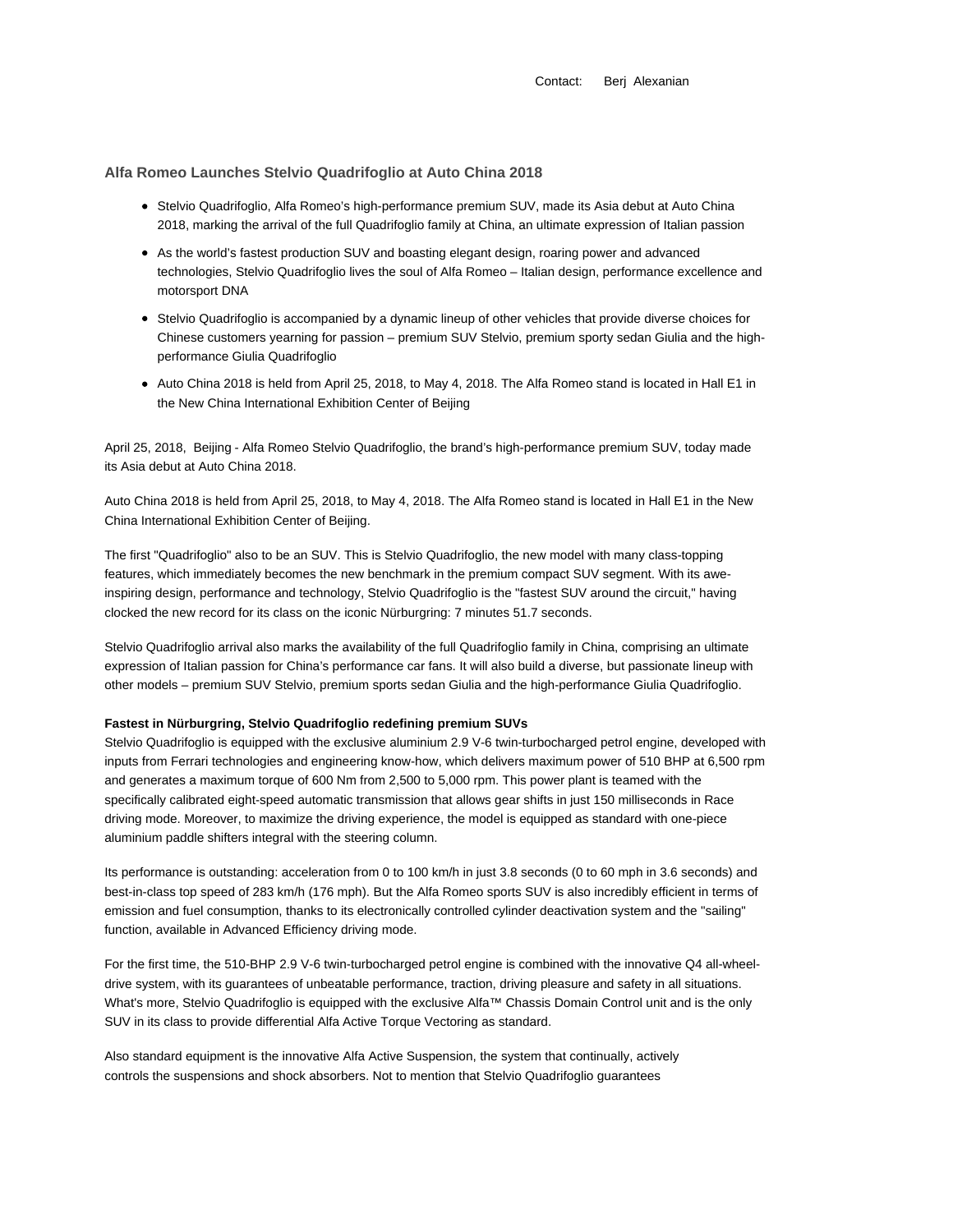Contact: Berj Alexanian

## **Alfa Romeo Launches Stelvio Quadrifoglio at Auto China 2018**

- Stelvio Quadrifoglio, Alfa Romeo's high-performance premium SUV, made its Asia debut at Auto China 2018, marking the arrival of the full Quadrifoglio family at China, an ultimate expression of Italian passion
- As the world's fastest production SUV and boasting elegant design, roaring power and advanced technologies, Stelvio Quadrifoglio lives the soul of Alfa Romeo – Italian design, performance excellence and motorsport DNA
- Stelvio Quadrifoglio is accompanied by a dynamic lineup of other vehicles that provide diverse choices for Chinese customers yearning for passion – premium SUV Stelvio, premium sporty sedan Giulia and the highperformance Giulia Quadrifoglio
- Auto China 2018 is held from April 25, 2018, to May 4, 2018. The Alfa Romeo stand is located in Hall E1 in the New China International Exhibition Center of Beijing

April 25, 2018, Beijing - Alfa Romeo Stelvio Quadrifoglio, the brand's high-performance premium SUV, today made its Asia debut at Auto China 2018.

Auto China 2018 is held from April 25, 2018, to May 4, 2018. The Alfa Romeo stand is located in Hall E1 in the New China International Exhibition Center of Beijing.

The first "Quadrifoglio" also to be an SUV. This is Stelvio Quadrifoglio, the new model with many class-topping features, which immediately becomes the new benchmark in the premium compact SUV segment. With its aweinspiring design, performance and technology, Stelvio Quadrifoglio is the "fastest SUV around the circuit," having clocked the new record for its class on the iconic Nürburgring: 7 minutes 51.7 seconds.

Stelvio Quadrifoglio arrival also marks the availability of the full Quadrifoglio family in China, comprising an ultimate expression of Italian passion for China's performance car fans. It will also build a diverse, but passionate lineup with other models – premium SUV Stelvio, premium sports sedan Giulia and the high-performance Giulia Quadrifoglio.

#### **Fastest in Nürburgring, Stelvio Quadrifoglio redefining premium SUVs**

Stelvio Quadrifoglio is equipped with the exclusive aluminium 2.9 V-6 twin-turbocharged petrol engine, developed with inputs from Ferrari technologies and engineering know-how, which delivers maximum power of 510 BHP at 6,500 rpm and generates a maximum torque of 600 Nm from 2,500 to 5,000 rpm. This power plant is teamed with the specifically calibrated eight-speed automatic transmission that allows gear shifts in just 150 milliseconds in Race driving mode. Moreover, to maximize the driving experience, the model is equipped as standard with one-piece aluminium paddle shifters integral with the steering column.

Its performance is outstanding: acceleration from 0 to 100 km/h in just 3.8 seconds (0 to 60 mph in 3.6 seconds) and best-in-class top speed of 283 km/h (176 mph). But the Alfa Romeo sports SUV is also incredibly efficient in terms of emission and fuel consumption, thanks to its electronically controlled cylinder deactivation system and the "sailing" function, available in Advanced Efficiency driving mode.

For the first time, the 510-BHP 2.9 V-6 twin-turbocharged petrol engine is combined with the innovative Q4 all-wheeldrive system, with its guarantees of unbeatable performance, traction, driving pleasure and safety in all situations. What's more, Stelvio Quadrifoglio is equipped with the exclusive Alfa™ Chassis Domain Control unit and is the only SUV in its class to provide differential Alfa Active Torque Vectoring as standard.

Also standard equipment is the innovative Alfa Active Suspension, the system that continually, actively controls the suspensions and shock absorbers. Not to mention that Stelvio Quadrifoglio guarantees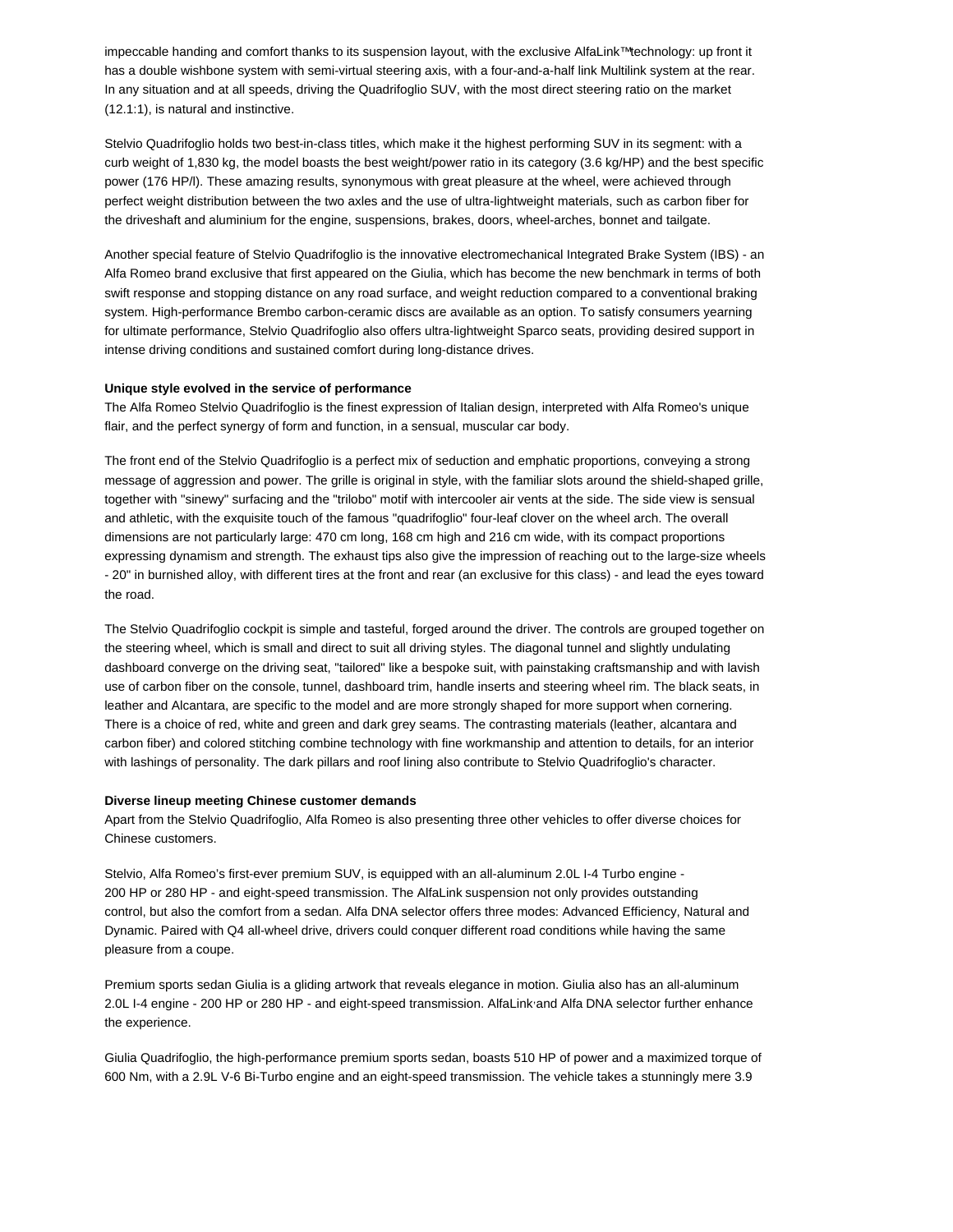impeccable handing and comfort thanks to its suspension layout, with the exclusive AlfaLink™technology: up front it has a double wishbone system with semi-virtual steering axis, with a four-and-a-half link Multilink system at the rear. In any situation and at all speeds, driving the Quadrifoglio SUV, with the most direct steering ratio on the market (12.1:1), is natural and instinctive.

Stelvio Quadrifoglio holds two best-in-class titles, which make it the highest performing SUV in its segment: with a curb weight of 1,830 kg, the model boasts the best weight/power ratio in its category (3.6 kg/HP) and the best specific power (176 HP/l). These amazing results, synonymous with great pleasure at the wheel, were achieved through perfect weight distribution between the two axles and the use of ultra-lightweight materials, such as carbon fiber for the driveshaft and aluminium for the engine, suspensions, brakes, doors, wheel-arches, bonnet and tailgate.

Another special feature of Stelvio Quadrifoglio is the innovative electromechanical Integrated Brake System (IBS) - an Alfa Romeo brand exclusive that first appeared on the Giulia, which has become the new benchmark in terms of both swift response and stopping distance on any road surface, and weight reduction compared to a conventional braking system. High-performance Brembo carbon-ceramic discs are available as an option. To satisfy consumers yearning for ultimate performance, Stelvio Quadrifoglio also offers ultra-lightweight Sparco seats, providing desired support in intense driving conditions and sustained comfort during long-distance drives.

### **Unique style evolved in the service of performance**

The Alfa Romeo Stelvio Quadrifoglio is the finest expression of Italian design, interpreted with Alfa Romeo's unique flair, and the perfect synergy of form and function, in a sensual, muscular car body.

The front end of the Stelvio Quadrifoglio is a perfect mix of seduction and emphatic proportions, conveying a strong message of aggression and power. The grille is original in style, with the familiar slots around the shield-shaped grille, together with "sinewy" surfacing and the "trilobo" motif with intercooler air vents at the side. The side view is sensual and athletic, with the exquisite touch of the famous "quadrifoglio" four-leaf clover on the wheel arch. The overall dimensions are not particularly large: 470 cm long, 168 cm high and 216 cm wide, with its compact proportions expressing dynamism and strength. The exhaust tips also give the impression of reaching out to the large-size wheels - 20" in burnished alloy, with different tires at the front and rear (an exclusive for this class) - and lead the eyes toward the road.

The Stelvio Quadrifoglio cockpit is simple and tasteful, forged around the driver. The controls are grouped together on the steering wheel, which is small and direct to suit all driving styles. The diagonal tunnel and slightly undulating dashboard converge on the driving seat, "tailored" like a bespoke suit, with painstaking craftsmanship and with lavish use of carbon fiber on the console, tunnel, dashboard trim, handle inserts and steering wheel rim. The black seats, in leather and Alcantara, are specific to the model and are more strongly shaped for more support when cornering. There is a choice of red, white and green and dark grey seams. The contrasting materials (leather, alcantara and carbon fiber) and colored stitching combine technology with fine workmanship and attention to details, for an interior with lashings of personality. The dark pillars and roof lining also contribute to Stelvio Quadrifoglio's character.

#### **Diverse lineup meeting Chinese customer demands**

Apart from the Stelvio Quadrifoglio, Alfa Romeo is also presenting three other vehicles to offer diverse choices for Chinese customers.

Stelvio, Alfa Romeo's first-ever premium SUV, is equipped with an all-aluminum 2.0L I-4 Turbo engine - 200 HP or 280 HP - and eight-speed transmission. The AlfaLink suspension not only provides outstanding control, but also the comfort from a sedan. Alfa DNA selector offers three modes: Advanced Efficiency, Natural and Dynamic. Paired with Q4 all-wheel drive, drivers could conquer different road conditions while having the same pleasure from a coupe.

Premium sports sedan Giulia is a gliding artwork that reveals elegance in motion. Giulia also has an all-aluminum 2.0L I-4 engine - 200 HP or 280 HP - and eight-speed transmission. AlfaLink,and Alfa DNA selector further enhance the experience.

Giulia Quadrifoglio, the high-performance premium sports sedan, boasts 510 HP of power and a maximized torque of 600 Nm, with a 2.9L V-6 Bi-Turbo engine and an eight-speed transmission. The vehicle takes a stunningly mere 3.9